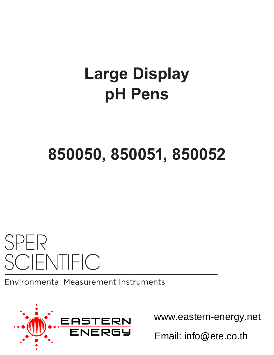# **Large Display pH Pens**

# **850050, 850051, 850052**

# **SPER SCIENTIFIC**

**Environmental Measurement Instruments** 



www.eastern-energy.net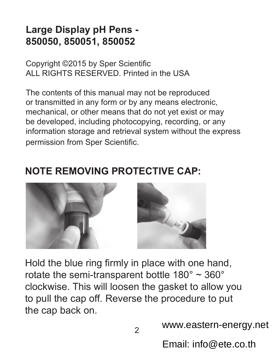#### **Large Display pH Pens - 850050, 850051, 850052**

Copyright ©2015 by Sper Scientific ALL RIGHTS RESERVED. Printed in the USA

The contents of this manual may not be reproduced or transmitted in any form or by any means electronic, mechanical, or other means that do not yet exist or may be developed, including photocopying, recording, or any information storage and retrieval system without the express permission from Sper Scientific.

#### **NOTE REMOVING PROTECTIVE CAP:**



Hold the blue ring firmly in place with one hand, rotate the semi-transparent bottle  $180^\circ \sim 360^\circ$ clockwise. This will loosen the gasket to allow you to pull the cap off. Reverse the procedure to put the cap back on.

www.eastern-energy.net

Email: info@ete.co.th

 $\overline{2}$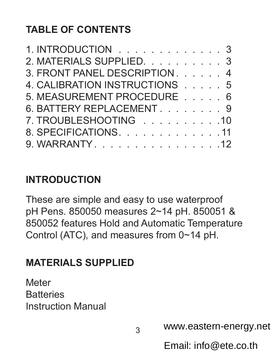## **TABLE OF CONTENTS**

| 1. INTRODUCTION 3             |  |  |  |
|-------------------------------|--|--|--|
| 2. MATERIALS SUPPLIED. 3      |  |  |  |
| 3. FRONT PANEL DESCRIPTION 4  |  |  |  |
| 4. CALIBRATION INSTRUCTIONS 5 |  |  |  |
| 5. MEASUREMENT PROCEDURE 6    |  |  |  |
| 6. BATTERY REPLACEMENT. 9     |  |  |  |
| 7. TROUBLESHOOTING 10         |  |  |  |
| 8. SPECIFICATIONS. 11         |  |  |  |
| 9. WARRANTY. 12               |  |  |  |

#### **INTRODUCTION**

These are simple and easy to use waterproof pH Pens. 850050 measures 2~14 pH. 850051 & 850052 features Hold and Automatic Temperature Control (ATC), and measures from 0~14 pH.

#### **MATERIALS SUPPLIED**

**Meter Batteries** Instruction Manual

www.eastern-energy.net

Email: info@ete.co.th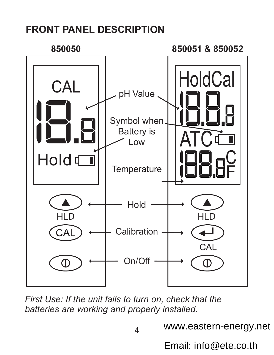#### **FRONT PANEL DESCRIPTION**



*First Use: If the unit fails to turn on, check that the batteries are working and properly installed.*

www.eastern-energy.net

Email: info@ete.co.th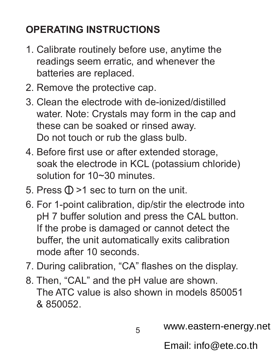# **OPERATING INSTRUCTIONS**

- 1. Calibrate routinely before use, anytime the readings seem erratic, and whenever the batteries are replaced.
- 2. Remove the protective cap.
- 3. Clean the electrode with de-ionized/distilled water. Note: Crystals may form in the cap and these can be soaked or rinsed away. Do not touch or rub the glass bulb.
- 4. Before first use or after extended storage, soak the electrode in KCL (potassium chloride) solution for 10~30 minutes
- 5. Press  $\mathbb{O}$  >1 sec to turn on the unit.
- 6. For 1-point calibration, dip/stir the electrode into pH 7 buffer solution and press the CAL button. If the probe is damaged or cannot detect the buffer, the unit automatically exits calibration mode after 10 seconds.
- 7. During calibration, "CA" flashes on the display.
- 8. Then, "CAL" and the pH value are shown. The ATC value is also shown in models 850051 & 850052.

www.eastern-energy.net

Email: info@ete.co.th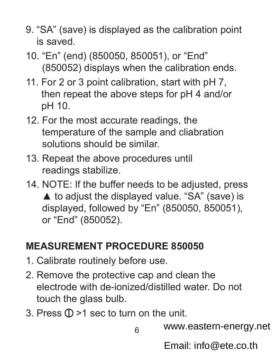- 9. "SA" (save) is displayed as the calibration point is saved.
- 10. "En" (end) (850050, 850051), or "End" (850052) displays when the calibration ends.
- 11. For 2 or 3 point calibration, start with pH 7, then repeat the above steps for pH 4 and/or pH 10.
- 12. For the most accurate readings, the temperature of the sample and cliabration solutions should be similar.
- 13. Repeat the above procedures until readings stabilize.
- 14. NOTE: If the buffer needs to be adjusted, press  $\triangle$  to adjust the displayed value. "SA" (save) is displayed, followed by "En" (850050, 850051), or "End" (850052).

#### **MEASUREMENT PROCEDURE 850050**

- 1. Calibrate routinely before use.
- 2. Remove the protective cap and clean the electrode with de-ionized/distilled water. Do not touch the glass bulb.
- 3. Press  $\mathbb{O}$  >1 sec to turn on the unit.

www.eastern-energy.net

Email: info@ete.co.th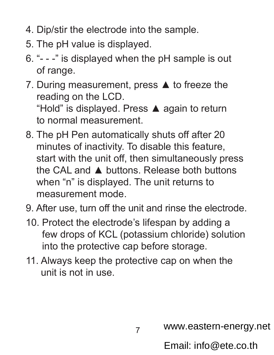- 4. Dip/stir the electrode into the sample.
- 5. The pH value is displayed.
- 6. "- -" is displayed when the pH sample is out of range.
- 7. During measurement, press ▲ to freeze the reading on the LCD. "Hold" is displayed. Press ▲ again to return

to normal measurement.

- 8. The pH Pen automatically shuts off after 20 minutes of inactivity. To disable this feature, start with the unit off, then simultaneously press the CAL and ▲ buttons. Release both buttons when "n" is displayed. The unit returns to measurement mode.
- 9. After use, turn off the unit and rinse the electrode.
- 10. Protect the electrode's lifespan by adding a few drops of KCL (potassium chloride) solution into the protective cap before storage.
- 11. Always keep the protective cap on when the unit is not in use.

www.eastern-energy.net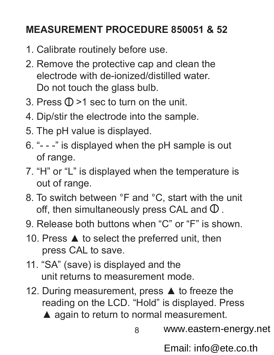#### **MEASUREMENT PROCEDURE 850051 & 52**

- 1. Calibrate routinely before use.
- 2. Remove the protective cap and clean the electrode with de-ionized/distilled water. Do not touch the glass bulb.
- 3. Press  $(D>1$  sec to turn on the unit.
- 4. Dip/stir the electrode into the sample.
- 5. The pH value is displayed.
- 6. "- -" is displayed when the pH sample is out of range.
- 7. "H" or "L" is displayed when the temperature is out of range.
- 8. To switch between °F and °C, start with the unit off, then simultaneously press CAL and  $\Phi$ .
- 9. Release both buttons when "C" or "F" is shown.
- 10. Press ▲ to select the preferred unit, then press CAL to save.
- 11. "SA" (save) is displayed and the unit returns to measurement mode.
- 12. During measurement, press ▲ to freeze the reading on the LCD. "Hold" is displayed. Press
	- **▲ again to return to normal measurement.**

8

www.eastern-energy.net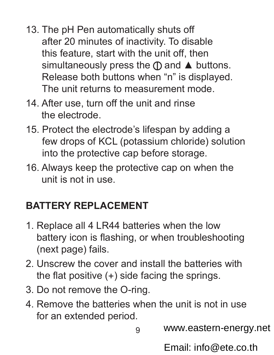- 13. The pH Pen automatically shuts off after 20 minutes of inactivity. To disable this feature, start with the unit off, then simultaneously press the  $\oplus$  and  $\blacktriangle$  buttons. Release both buttons when "n" is displayed. The unit returns to measurement mode.
- 14. After use, turn off the unit and rinse the electrode.
- 15. Protect the electrode's lifespan by adding a few drops of KCL (potassium chloride) solution into the protective cap before storage.
- 16. Always keep the protective cap on when the unit is not in use.

### **BATTERY REPLACEMENT**

- 1. Replace all 4 LR44 batteries when the low battery icon is flashing, or when troubleshooting (next page) fails.
- 2. Unscrew the cover and install the batteries with the flat positive  $(+)$  side facing the springs.
- 3. Do not remove the O-ring.
- 4. Remove the batteries when the unit is not in use for an extended period.

9

www.eastern-energy.net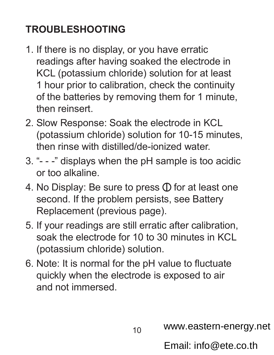# **TROUBLESHOOTING**

- 1. If there is no display, or you have erratic readings after having soaked the electrode in KCL (potassium chloride) solution for at least 1 hour prior to calibration, check the continuity of the batteries by removing them for 1 minute, then reinsert.
- 2. Slow Response: Soak the electrode in KCL (potassium chloride) solution for 10-15 minutes, then rinse with distilled/de-ionized water.
- 3. "- -" displays when the pH sample is too acidic or too alkaline.
- 4. No Display: Be sure to press  $\Phi$  for at least one second. If the problem persists, see Battery Replacement (previous page).
- 5. If your readings are still erratic after calibration, soak the electrode for 10 to 30 minutes in KCL (potassium chloride) solution.
- 6. Note: It is normal for the pH value to fluctuate quickly when the electrode is exposed to air and not immersed.

www.eastern-energy.net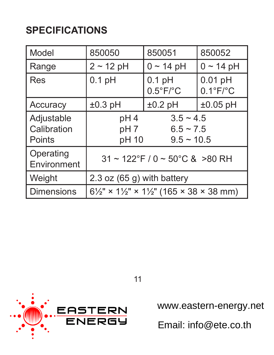## **SPECIFICATIONS**

| Model                               | 850050                                                 | 850051                                                                      | 850052                          |  |  |  |
|-------------------------------------|--------------------------------------------------------|-----------------------------------------------------------------------------|---------------------------------|--|--|--|
| Range                               | $2 \sim 12$ pH                                         | $0 \sim 14$ pH                                                              | $0 \sim 14$ pH                  |  |  |  |
| Res                                 | $0.1$ pH                                               | $0.1$ pH<br>$0.5^{\circ}F/^{\circ}C$                                        | $0.01$ pH<br>$0.1^{\circ}$ F/°C |  |  |  |
| Accuracy                            | $±0.3$ pH                                              | $±0.2$ pH                                                                   | $±0.05$ pH                      |  |  |  |
| Adjustable<br>Calibration<br>Points | pH4<br>pH <sub>7</sub><br>pH 10                        | $3.5 - 4.5$<br>$6.5 \sim 7.5$<br>$9.5 \sim 10.5$                            |                                 |  |  |  |
| Operating<br>Environment            | $31 \sim 122^{\circ}$ F / 0 ~ 50 $^{\circ}$ C & >80 RH |                                                                             |                                 |  |  |  |
| Weight                              | 2.3 oz $(65 g)$ with battery                           |                                                                             |                                 |  |  |  |
| l Dimensions                        |                                                        | $6\frac{1}{2}$ " × 1 $\frac{1}{2}$ " × 1 $\frac{1}{2}$ " (165 × 38 × 38 mm) |                                 |  |  |  |



11

www.eastern-energy.net